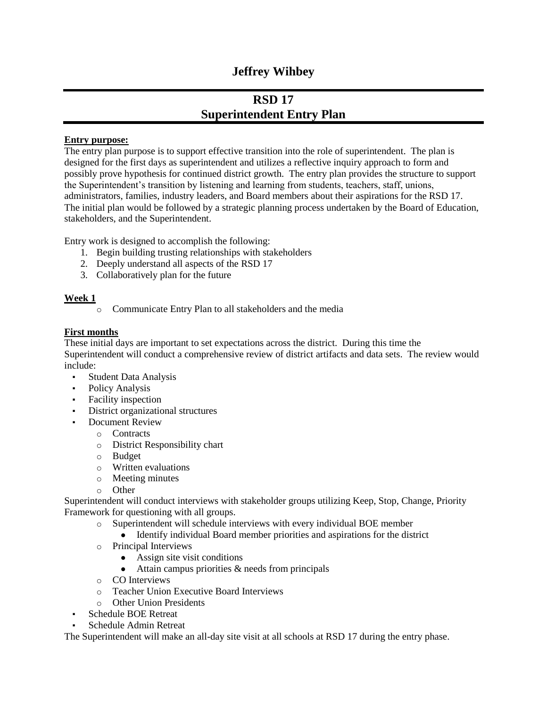## **Jeffrey Wihbey**

# **RSD 17 Superintendent Entry Plan**

#### **Entry purpose:**

The entry plan purpose is to support effective transition into the role of superintendent. The plan is designed for the first days as superintendent and utilizes a reflective inquiry approach to form and possibly prove hypothesis for continued district growth. The entry plan provides the structure to support the Superintendent's transition by listening and learning from students, teachers, staff, unions, administrators, families, industry leaders, and Board members about their aspirations for the RSD 17. The initial plan would be followed by a strategic planning process undertaken by the Board of Education, stakeholders, and the Superintendent.

Entry work is designed to accomplish the following:

- 1. Begin building trusting relationships with stakeholders
- 2. Deeply understand all aspects of the RSD 17
- 3. Collaboratively plan for the future

### **Week 1**

o Communicate Entry Plan to all stakeholders and the media

### **First months**

These initial days are important to set expectations across the district. During this time the Superintendent will conduct a comprehensive review of district artifacts and data sets. The review would include:

- Student Data Analysis
- Policy Analysis
- Facility inspection
- District organizational structures
	- **Document Review** 
		- o Contracts
		- o District Responsibility chart
		- o Budget
		- o Written evaluations
		- o Meeting minutes
		- o Other

Superintendent will conduct interviews with stakeholder groups utilizing Keep, Stop, Change, Priority Framework for questioning with all groups.

- o Superintendent will schedule interviews with every individual BOE member
	- Identify individual Board member priorities and aspirations for the district
- o Principal Interviews
	- Assign site visit conditions
	- $\bullet$  Attain campus priorities  $\&$  needs from principals
- o CO Interviews
- o Teacher Union Executive Board Interviews
- o Other Union Presidents
- Schedule BOE Retreat
- Schedule Admin Retreat

The Superintendent will make an all-day site visit at all schools at RSD 17 during the entry phase.